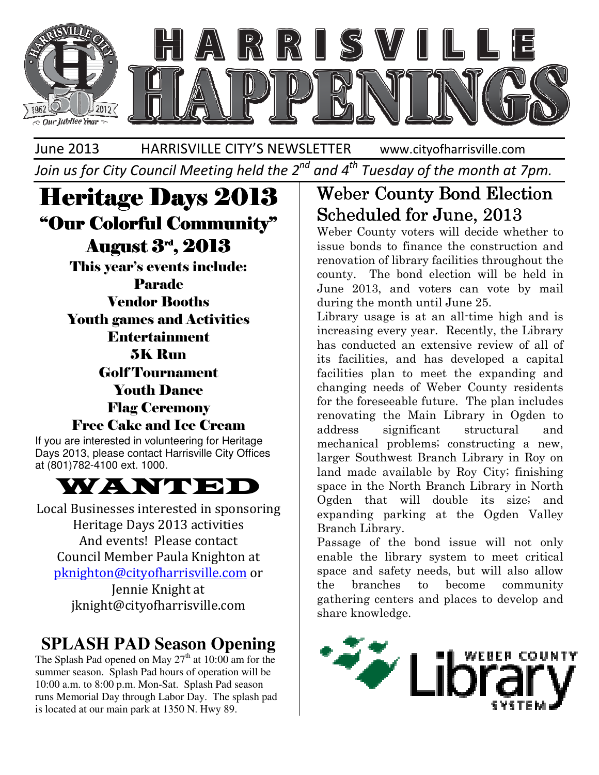

June 2013 HARRISVILLE CITY'S NEWSLETTER

www.cityofharrisville.com

Join us for City Council Meeting held the 2<sup>nd</sup> and 4<sup>th</sup> Tuesday of the month at 7pm.

# Heritage Days 2013 2013 "Our Colorful Community" Community" August 3rd, 2013 , 2013

This year's events include:<br>Parade<br>Vendor Booths<br>Youth games and Activities Parade Vendor Booths Youth games and Activities Entertainment 5K Run Golf Tournament Youth Dance Flag Ceremony Free Cake and Ice Cream

If you are interested in volunteering for Heritage Days 2013, please contact Harrisville City Offices at (801)782-4100 ext. 1000.



Local Businesses interested in sponsoring Heritage Days 2013 activities And events! Please contact Council Member Paula Knighton at Heritage Days 2013 activities<br>And events! Please contact<br>Council Member Paula Knighton at<br>pknighton@cityofharrisville.com or Jennie Knight at jknight@cityofharrisville.com

# **SPLASH PAD Season Opening**

The Splash Pad opened on May  $27<sup>th</sup>$  at 10:00 am for the summer season. Splash Pad hours of operation will be 10:00 a.m. to 8:00 p.m. Mon-Sat. Splash Pad season runs Memorial Day through Labor Day. The splash pad is located at our main park at 1350 N. Hwy 89.

# Scheduled for June, 2013 **Weber County Bond Election**

Weber County voters will decide whether to issue bonds to finance the construction and renovation of library facilities throughout the county. The bond election will be held in June 2013, and voters can vote by mail during the month until June 25. County voters will decide whether to<br>onds to finance the construction and<br>ion of library facilities throughout the<br>The bond election will be held in<br>2013, and voters can vote by mail<br>the month until June 25.<br>Tusage is at a

**FITADE DAYS 2013**<br> **Colorful Community"**<br> **Scheeluled for June, 2013**<br>
Weber County voters will decide whether **Angust 3", 2013**<br>
Hours coems include:<br> **Parade**<br> **Parade**<br> **Parade**<br> **Parade**<br> **Parade**<br> **Parade**<br> **Parade** Library usage is at an all-time high and is increasing every year. Recently, the Library has conducted an extensive review of all of its facilities, and has developed a capital facilities plan to meet the expanding and changing needs of Weber County residents for the foreseeable future. The plan includes renovating the Main Library in Ogden to address significant structural and mechanical problems; constructing a new, larger Southwest Branch Library in Roy on land made available by Roy City; finishing space in the North Branch Library in North Ogden that will double its size; and expanding parking at the Ogden Valley Branch Library. has conducted an extensive review of all of<br>its facilities, and has developed a capital<br>facilities plan to meet the expanding and<br>changing needs of Weber County residents<br>for the foreseeable future. The plan includes<br>renov in the North Branch Library in North<br>that will double its size; and<br>ding parking at the Ogden Valley<br>h Library.<br>ge of the bond issue will not only<br>the library system to meet critical<br>and safety needs, but will also allow

Passage of the bond issue will not only enable the library system to meet critical space and safety needs, but will also allow the branches to become community gathering centers and places to develop and gathering share knowledge.